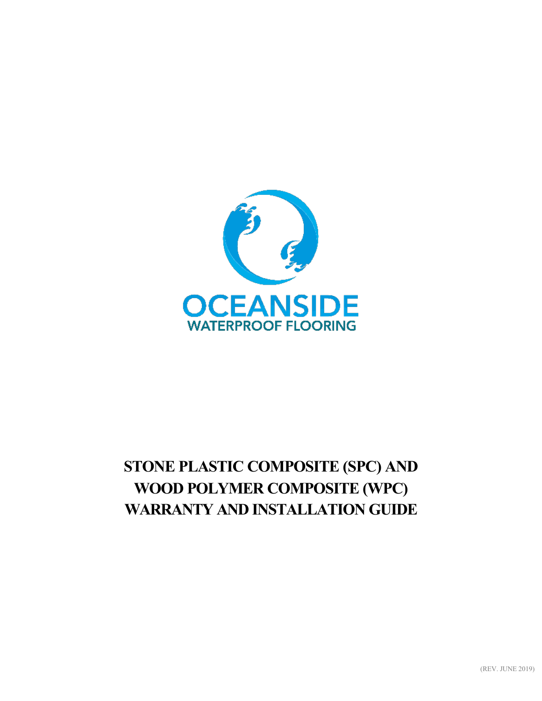

# **STONE PLASTIC COMPOSITE (SPC) AND WOOD POLYMER COMPOSITE (WPC) WARRANTY AND INSTALLATION GUIDE**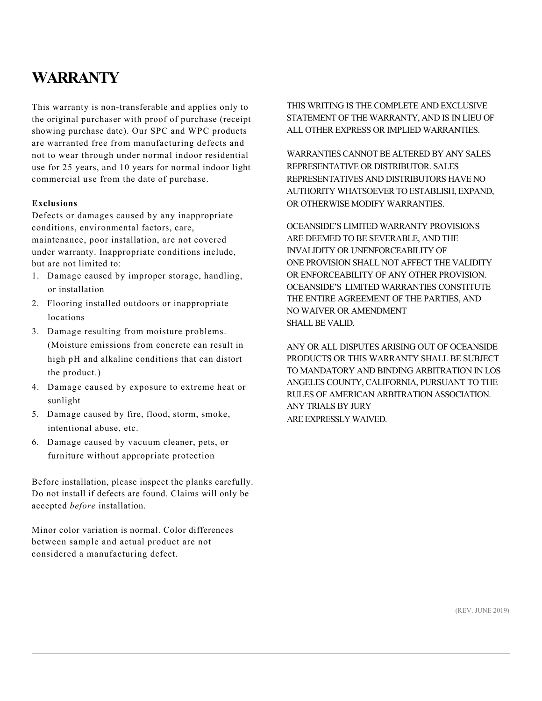## **WARRANTY**

This warranty is non-transferable and applies only to the original purchaser with proof of purchase (receipt showing purchase date). Our SPC and WPC products are warranted free from manufacturing defects and not to wear through under normal indoor residential use for 25 years, and 10 years for normal indoor light commercial use from the date of purchase.

#### **Exclusions**

Defects or damages caused by any inappropriate conditions, environmental factors, care, maintenance, poor installation, are not covered under warranty. Inappropriate conditions include, but are not limited to:

- 1. Damage caused by improper storage, handling, or installation
- 2. Flooring installed outdoors or inappropriate locations
- 3. Damage resulting from moisture problems. (Moisture emissions from concrete can result in high pH and alkaline conditions that can distort the product.)
- 4. Damage caused by exposure to extreme heat or sunlight
- 5. Damage caused by fire, flood, storm, smoke, intentional abuse, etc.
- 6. Damage caused by vacuum cleaner, pets, or furniture without appropriate protection

Before installation, please inspect the planks carefully. Do not install if defects are found. Claims will only be accepted *before* installation.

Minor color variation is normal. Color differences between sample and actual product are not considered a manufacturing defect.

THIS WRITING IS THE COMPLETE AND EXCLUSIVE STATEMENT OF THE WARRANTY, AND IS IN LIEU OF ALL OTHER EXPRESS OR IMPLIED WARRANTIES.

WARRANTIES CANNOT BE ALTERED BY ANY SALES REPRESENTATIVE OR DISTRIBUTOR. SALES REPRESENTATIVES AND DISTRIBUTORS HAVE NO AUTHORITY WHATSOEVER TO ESTABLISH, EXPAND, OR OTHERWISE MODIFY WARRANTIES.

OCEANSIDE'S LIMITED WARRANTY PROVISIONS ARE DEEMED TO BE SEVERABLE, AND THE INVALIDITY OR UNENFORCEABILITY OF ONE PROVISION SHALL NOT AFFECT THE VALIDITY OR ENFORCEABILITY OF ANY OTHER PROVISION. OCEANSIDE'S LIMITED WARRANTIES CONSTITUTE THE ENTIRE AGREEMENT OF THE PARTIES, AND NO WAIVER OR AMENDMENT SHALL BE VALID.

ANY OR ALL DISPUTES ARISING OUT OF OCEANSIDE PRODUCTS OR THIS WARRANTY SHALL BE SUBJECT TO MANDATORY AND BINDING ARBITRATION IN LOS ANGELES COUNTY, CALIFORNIA, PURSUANT TO THE RULES OF AMERICAN ARBITRATION ASSOCIATION. ANY TRIALS BY JURY ARE EXPRESSLYWAIVED.

(REV. JUNE 2019)